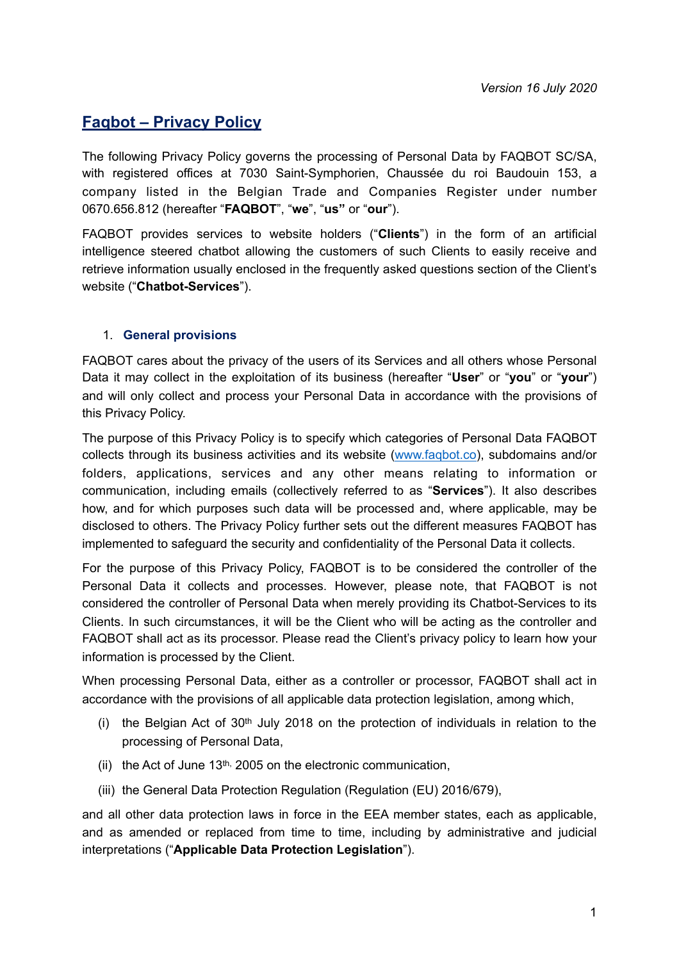# **Faqbot – Privacy Policy**

The following Privacy Policy governs the processing of Personal Data by FAQBOT SC/SA, with registered offices at 7030 Saint-Symphorien, Chaussée du roi Baudouin 153, a company listed in the Belgian Trade and Companies Register under number 0670.656.812 (hereafter "**FAQBOT**", "**we**", "**us"** or "**our**").

FAQBOT provides services to website holders ("**Clients**") in the form of an artificial intelligence steered chatbot allowing the customers of such Clients to easily receive and retrieve information usually enclosed in the frequently asked questions section of the Client's website ("**Chatbot-Services**").

### 1. **General provisions**

FAQBOT cares about the privacy of the users of its Services and all others whose Personal Data it may collect in the exploitation of its business (hereafter "**User**" or "**you**" or "**your**") and will only collect and process your Personal Data in accordance with the provisions of this Privacy Policy.

The purpose of this Privacy Policy is to specify which categories of Personal Data FAQBOT collects through its business activities and its website ([www.faqbot.co\)](http://www.faqbot.co), subdomains and/or folders, applications, services and any other means relating to information or communication, including emails (collectively referred to as "**Services**"). It also describes how, and for which purposes such data will be processed and, where applicable, may be disclosed to others. The Privacy Policy further sets out the different measures FAQBOT has implemented to safeguard the security and confidentiality of the Personal Data it collects.

For the purpose of this Privacy Policy, FAQBOT is to be considered the controller of the Personal Data it collects and processes. However, please note, that FAQBOT is not considered the controller of Personal Data when merely providing its Chatbot-Services to its Clients. In such circumstances, it will be the Client who will be acting as the controller and FAQBOT shall act as its processor. Please read the Client's privacy policy to learn how your information is processed by the Client.

When processing Personal Data, either as a controller or processor, FAQBOT shall act in accordance with the provisions of all applicable data protection legislation, among which,

- (i) the Belgian Act of  $30<sup>th</sup>$  July 2018 on the protection of individuals in relation to the processing of Personal Data,
- (ii) the Act of June 13th, 2005 on the electronic communication,
- (iii) the General Data Protection Regulation (Regulation (EU) 2016/679),

and all other data protection laws in force in the EEA member states, each as applicable, and as amended or replaced from time to time, including by administrative and judicial interpretations ("**Applicable Data Protection Legislation**").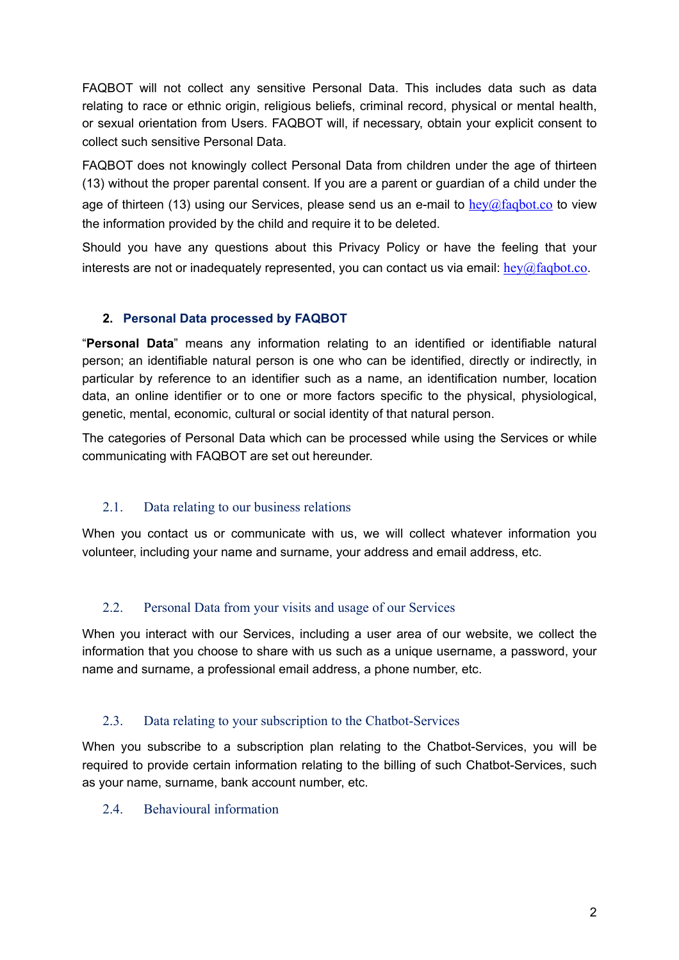FAQBOT will not collect any sensitive Personal Data. This includes data such as data relating to race or ethnic origin, religious beliefs, criminal record, physical or mental health, or sexual orientation from Users. FAQBOT will, if necessary, obtain your explicit consent to collect such sensitive Personal Data.

FAQBOT does not knowingly collect Personal Data from children under the age of thirteen (13) without the proper parental consent. If you are a parent or guardian of a child under the age of thirteen (13) using our Services, please send us an e-mail to  $hev@fabot.co$  to view the information provided by the child and require it to be deleted.

Should you have any questions about this Privacy Policy or have the feeling that your interests are not or inadequately represented, you can contact us via email:  $hev@faabot.co$ .

### **2. Personal Data processed by FAQBOT**

"**Personal Data**" means any information relating to an identified or identifiable natural person; an identifiable natural person is one who can be identified, directly or indirectly, in particular by reference to an identifier such as a name, an identification number, location data, an online identifier or to one or more factors specific to the physical, physiological, genetic, mental, economic, cultural or social identity of that natural person.

The categories of Personal Data which can be processed while using the Services or while communicating with FAQBOT are set out hereunder.

## 2.1. Data relating to our business relations

When you contact us or communicate with us, we will collect whatever information you volunteer, including your name and surname, your address and email address, etc.

## 2.2. Personal Data from your visits and usage of our Services

When you interact with our Services, including a user area of our website, we collect the information that you choose to share with us such as a unique username, a password, your name and surname, a professional email address, a phone number, etc.

## 2.3. Data relating to your subscription to the Chatbot-Services

When you subscribe to a subscription plan relating to the Chatbot-Services, you will be required to provide certain information relating to the billing of such Chatbot-Services, such as your name, surname, bank account number, etc.

### 2.4. Behavioural information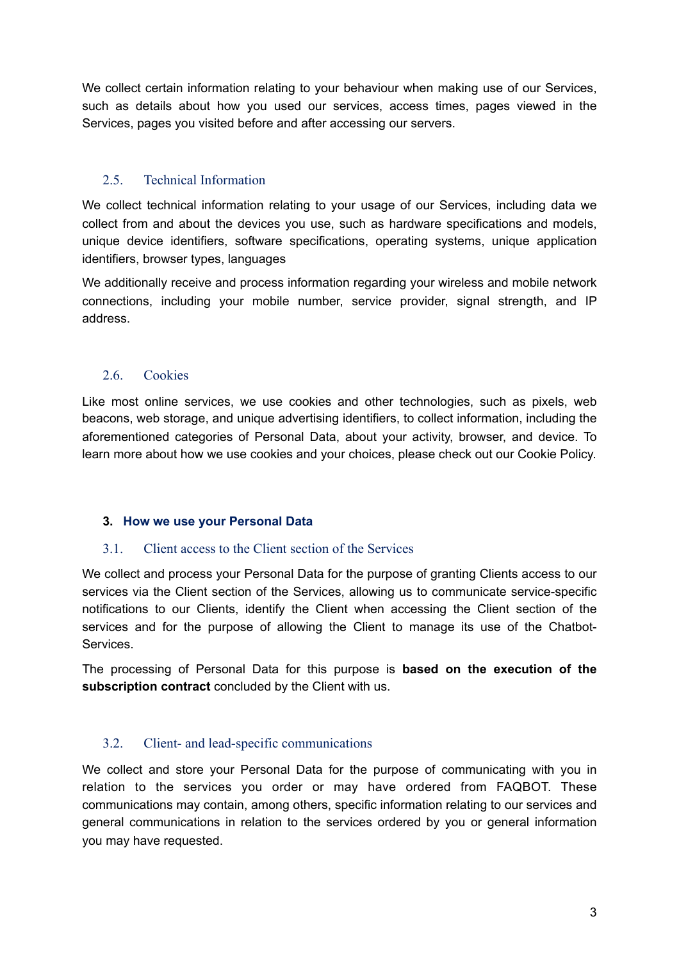We collect certain information relating to your behaviour when making use of our Services, such as details about how you used our services, access times, pages viewed in the Services, pages you visited before and after accessing our servers.

## 2.5. Technical Information

We collect technical information relating to your usage of our Services, including data we collect from and about the devices you use, such as hardware specifications and models, unique device identifiers, software specifications, operating systems, unique application identifiers, browser types, languages

We additionally receive and process information regarding your wireless and mobile network connections, including your mobile number, service provider, signal strength, and IP address.

## 2.6. Cookies

Like most online services, we use cookies and other technologies, such as pixels, web beacons, web storage, and unique advertising identifiers, to collect information, including the aforementioned categories of Personal Data, about your activity, browser, and device. To learn more about how we use cookies and your choices, please check out our [Cookie Policy.](https://www.snap.com/en-US/cookie-policy/)

## **3. How we use your Personal Data**

## 3.1. Client access to the Client section of the Services

We collect and process your Personal Data for the purpose of granting Clients access to our services via the Client section of the Services, allowing us to communicate service-specific notifications to our Clients, identify the Client when accessing the Client section of the services and for the purpose of allowing the Client to manage its use of the Chatbot-**Services** 

The processing of Personal Data for this purpose is **based on the execution of the subscription contract** concluded by the Client with us.

## 3.2. Client- and lead-specific communications

We collect and store your Personal Data for the purpose of communicating with you in relation to the services you order or may have ordered from FAQBOT. These communications may contain, among others, specific information relating to our services and general communications in relation to the services ordered by you or general information you may have requested.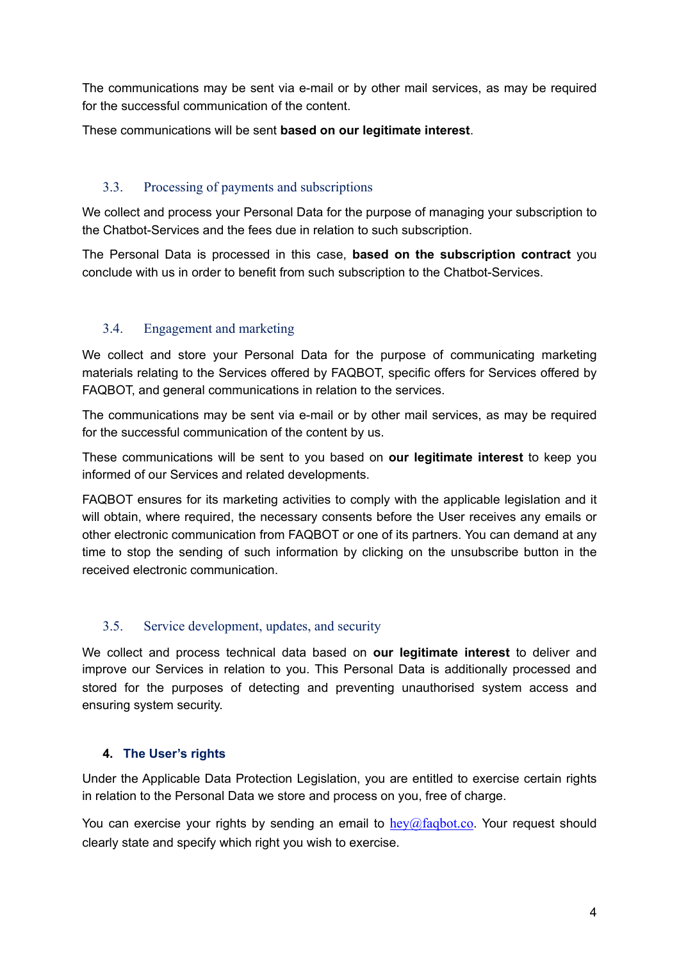The communications may be sent via e-mail or by other mail services, as may be required for the successful communication of the content.

These communications will be sent **based on our legitimate interest**.

## 3.3. Processing of payments and subscriptions

We collect and process your Personal Data for the purpose of managing your subscription to the Chatbot-Services and the fees due in relation to such subscription.

The Personal Data is processed in this case, **based on the subscription contract** you conclude with us in order to benefit from such subscription to the Chatbot-Services.

## 3.4. Engagement and marketing

We collect and store your Personal Data for the purpose of communicating marketing materials relating to the Services offered by FAQBOT, specific offers for Services offered by FAQBOT, and general communications in relation to the services.

The communications may be sent via e-mail or by other mail services, as may be required for the successful communication of the content by us.

These communications will be sent to you based on **our legitimate interest** to keep you informed of our Services and related developments.

FAQBOT ensures for its marketing activities to comply with the applicable legislation and it will obtain, where required, the necessary consents before the User receives any emails or other electronic communication from FAQBOT or one of its partners. You can demand at any time to stop the sending of such information by clicking on the unsubscribe button in the received electronic communication.

## 3.5. Service development, updates, and security

We collect and process technical data based on **our legitimate interest** to deliver and improve our Services in relation to you. This Personal Data is additionally processed and stored for the purposes of detecting and preventing unauthorised system access and ensuring system security.

## **4. The User's rights**

Under the Applicable Data Protection Legislation, you are entitled to exercise certain rights in relation to the Personal Data we store and process on you, free of charge.

You can exercise your rights by sending an email to  $hev@fagbot.co$ . Your request should clearly state and specify which right you wish to exercise.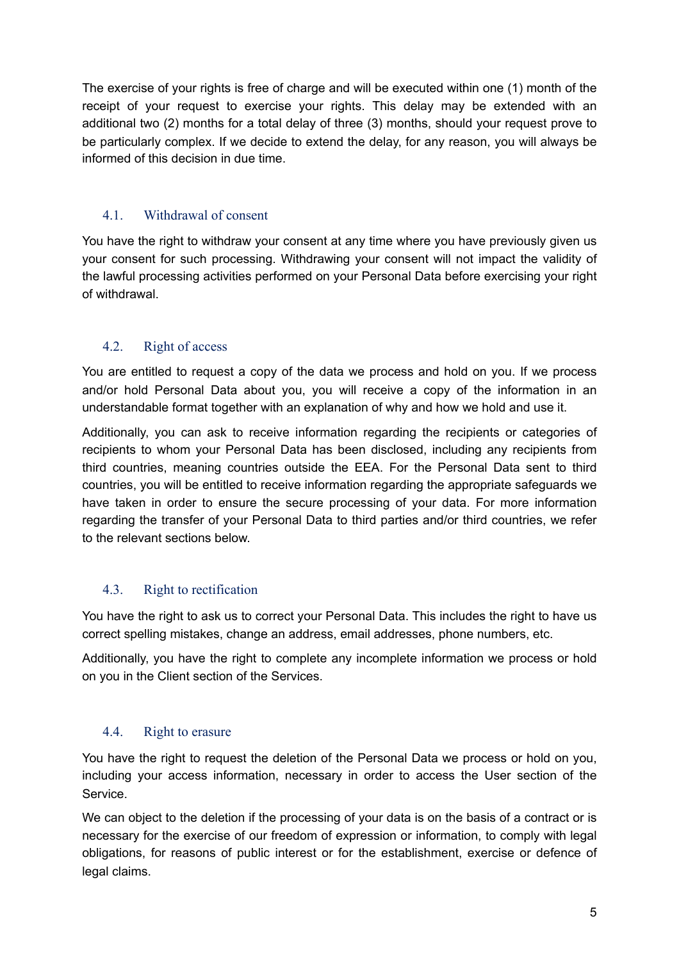The exercise of your rights is free of charge and will be executed within one (1) month of the receipt of your request to exercise your rights. This delay may be extended with an additional two (2) months for a total delay of three (3) months, should your request prove to be particularly complex. If we decide to extend the delay, for any reason, you will always be informed of this decision in due time.

## 4.1. Withdrawal of consent

You have the right to withdraw your consent at any time where you have previously given us your consent for such processing. Withdrawing your consent will not impact the validity of the lawful processing activities performed on your Personal Data before exercising your right of withdrawal.

## 4.2. Right of access

You are entitled to request a copy of the data we process and hold on you. If we process and/or hold Personal Data about you, you will receive a copy of the information in an understandable format together with an explanation of why and how we hold and use it.

Additionally, you can ask to receive information regarding the recipients or categories of recipients to whom your Personal Data has been disclosed, including any recipients from third countries, meaning countries outside the EEA. For the Personal Data sent to third countries, you will be entitled to receive information regarding the appropriate safeguards we have taken in order to ensure the secure processing of your data. For more information regarding the transfer of your Personal Data to third parties and/or third countries, we refer to the relevant sections below.

## 4.3. Right to rectification

You have the right to ask us to correct your Personal Data. This includes the right to have us correct spelling mistakes, change an address, email addresses, phone numbers, etc.

Additionally, you have the right to complete any incomplete information we process or hold on you in the Client section of the Services.

## 4.4. Right to erasure

You have the right to request the deletion of the Personal Data we process or hold on you, including your access information, necessary in order to access the User section of the Service.

We can object to the deletion if the processing of your data is on the basis of a contract or is necessary for the exercise of our freedom of expression or information, to comply with legal obligations, for reasons of public interest or for the establishment, exercise or defence of legal claims.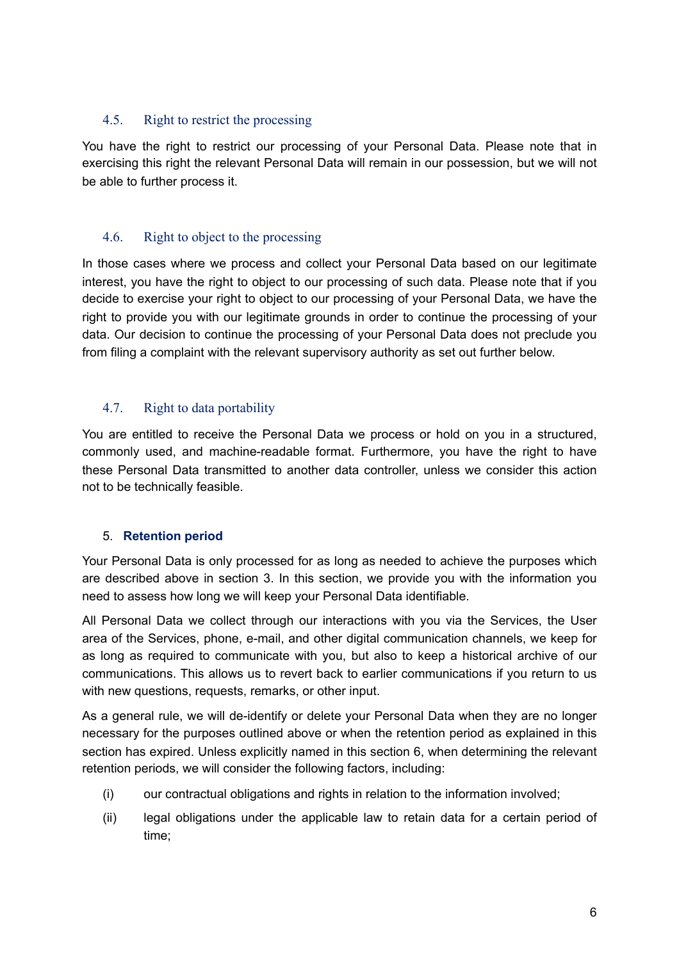### 4.5. Right to restrict the processing

You have the right to restrict our processing of your Personal Data. Please note that in exercising this right the relevant Personal Data will remain in our possession, but we will not be able to further process it.

### 4.6. Right to object to the processing

In those cases where we process and collect your Personal Data based on our legitimate interest, you have the right to object to our processing of such data. Please note that if you decide to exercise your right to object to our processing of your Personal Data, we have the right to provide you with our legitimate grounds in order to continue the processing of your data. Our decision to continue the processing of your Personal Data does not preclude you from filing a complaint with the relevant supervisory authority as set out further below.

## 4.7. Right to data portability

You are entitled to receive the Personal Data we process or hold on you in a structured, commonly used, and machine-readable format. Furthermore, you have the right to have these Personal Data transmitted to another data controller, unless we consider this action not to be technically feasible.

### 5. **Retention period**

Your Personal Data is only processed for as long as needed to achieve the purposes which are described above in section 3. In this section, we provide you with the information you need to assess how long we will keep your Personal Data identifiable.

All Personal Data we collect through our interactions with you via the Services, the User area of the Services, phone, e-mail, and other digital communication channels, we keep for as long as required to communicate with you, but also to keep a historical archive of our communications. This allows us to revert back to earlier communications if you return to us with new questions, requests, remarks, or other input.

As a general rule, we will de-identify or delete your Personal Data when they are no longer necessary for the purposes outlined above or when the retention period as explained in this section has expired. Unless explicitly named in this section 6, when determining the relevant retention periods, we will consider the following factors, including:

- (i) our contractual obligations and rights in relation to the information involved;
- (ii) legal obligations under the applicable law to retain data for a certain period of time;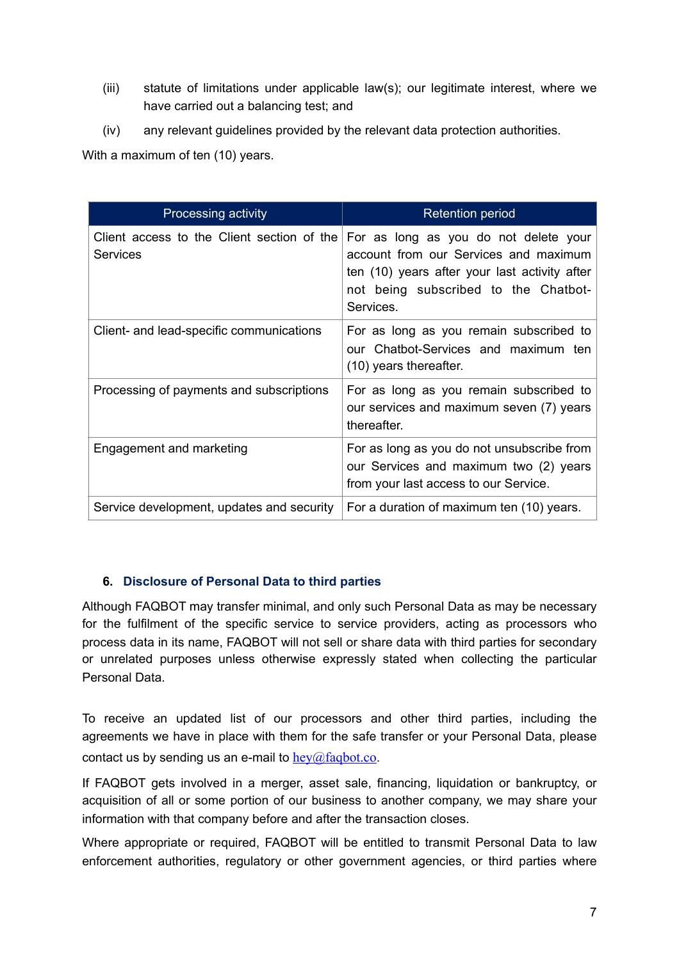- (iii) statute of limitations under applicable law(s); our legitimate interest, where we have carried out a balancing test; and
- (iv) any relevant guidelines provided by the relevant data protection authorities.

With a maximum of ten (10) years.

| <b>Processing activity</b>                                    | <b>Retention period</b>                                                                                                                                                              |
|---------------------------------------------------------------|--------------------------------------------------------------------------------------------------------------------------------------------------------------------------------------|
| Client access to the Client section of the<br><b>Services</b> | For as long as you do not delete your<br>account from our Services and maximum<br>ten (10) years after your last activity after<br>not being subscribed to the Chatbot-<br>Services. |
| Client- and lead-specific communications                      | For as long as you remain subscribed to<br>our Chatbot-Services and maximum ten<br>(10) years thereafter.                                                                            |
| Processing of payments and subscriptions                      | For as long as you remain subscribed to<br>our services and maximum seven (7) years<br>thereafter.                                                                                   |
| Engagement and marketing                                      | For as long as you do not unsubscribe from<br>our Services and maximum two (2) years<br>from your last access to our Service.                                                        |
| Service development, updates and security                     | For a duration of maximum ten (10) years.                                                                                                                                            |

### **6. Disclosure of Personal Data to third parties**

Although FAQBOT may transfer minimal, and only such Personal Data as may be necessary for the fulfilment of the specific service to service providers, acting as processors who process data in its name, FAQBOT will not sell or share data with third parties for secondary or unrelated purposes unless otherwise expressly stated when collecting the particular Personal Data.

To receive an updated list of our processors and other third parties, including the agreements we have in place with them for the safe transfer or your Personal Data, please contact us by sending us an e-mail to  $hev@fagbot.co$ .

If FAQBOT gets involved in a merger, asset sale, financing, liquidation or bankruptcy, or acquisition of all or some portion of our business to another company, we may share your information with that company before and after the transaction closes.

Where appropriate or required, FAQBOT will be entitled to transmit Personal Data to law enforcement authorities, regulatory or other government agencies, or third parties where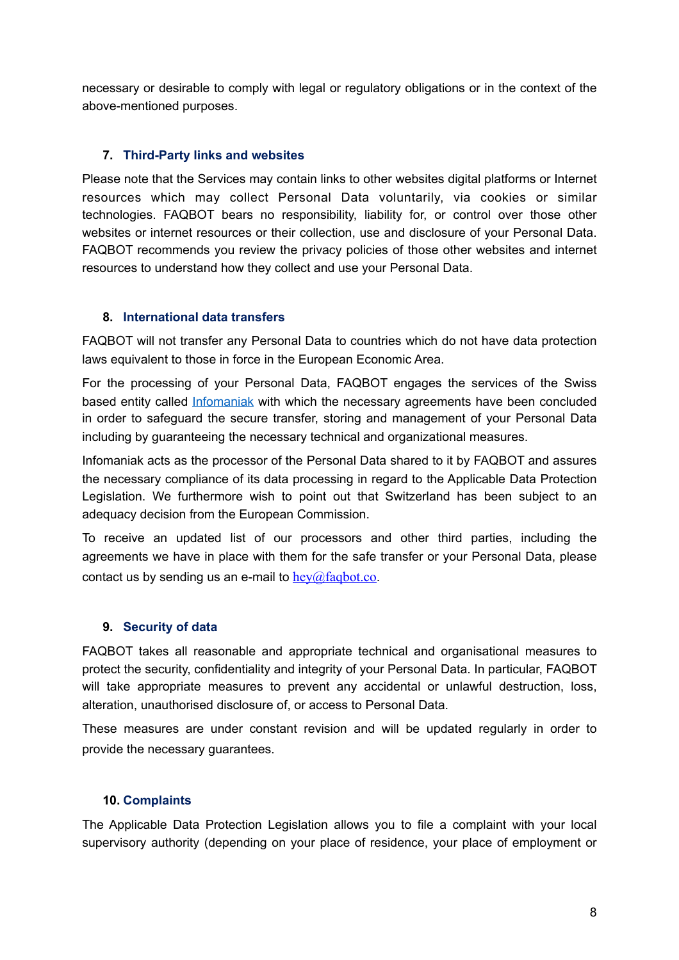necessary or desirable to comply with legal or regulatory obligations or in the context of the above-mentioned purposes.

### **7. Third-Party links and websites**

Please note that the Services may contain links to other websites digital platforms or Internet resources which may collect Personal Data voluntarily, via cookies or similar technologies. FAQBOT bears no responsibility, liability for, or control over those other websites or internet resources or their collection, use and disclosure of your Personal Data. FAQBOT recommends you review the privacy policies of those other websites and internet resources to understand how they collect and use your Personal Data.

### **8. International data transfers**

FAQBOT will not transfer any Personal Data to countries which do not have data protection laws equivalent to those in force in the European Economic Area.

For the processing of your Personal Data, FAQBOT engages the services of the Swiss based entity called [Infomaniak](https://www.infomaniak.com/en) with which the necessary agreements have been concluded in order to safeguard the secure transfer, storing and management of your Personal Data including by guaranteeing the necessary technical and organizational measures.

Infomaniak acts as the processor of the Personal Data shared to it by FAQBOT and assures the necessary compliance of its data processing in regard to the Applicable Data Protection Legislation. We furthermore wish to point out that Switzerland has been subject to an adequacy decision from the European Commission.

To receive an updated list of our processors and other third parties, including the agreements we have in place with them for the safe transfer or your Personal Data, please contact us by sending us an e-mail to  $h = \frac{\log(a) \cdot f(a)}{g}$ 

### **9. Security of data**

FAQBOT takes all reasonable and appropriate technical and organisational measures to protect the security, confidentiality and integrity of your Personal Data. In particular, FAQBOT will take appropriate measures to prevent any accidental or unlawful destruction, loss, alteration, unauthorised disclosure of, or access to Personal Data.

These measures are under constant revision and will be updated regularly in order to provide the necessary guarantees.

#### **10. Complaints**

The Applicable Data Protection Legislation allows you to file a complaint with your local supervisory authority (depending on your place of residence, your place of employment or